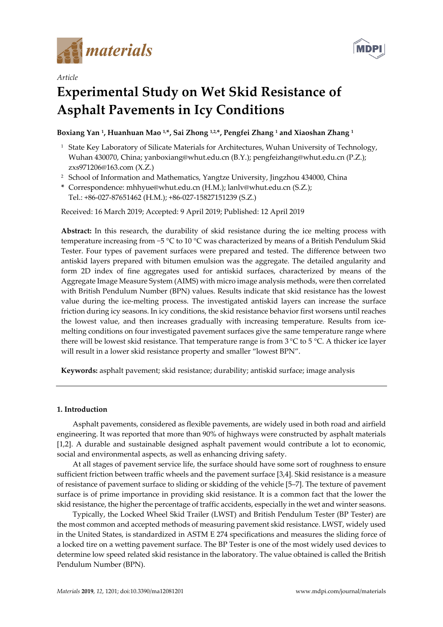



# *Article* **Experimental Study on Wet Skid Resistance of Asphalt Pavements in Icy Conditions**

# **Boxiang Yan 1, Huanhuan Mao 1,\*, Sai Zhong 1,2,\*, Pengfei Zhang <sup>1</sup> and Xiaoshan Zhang <sup>1</sup>**

- <sup>1</sup> State Key Laboratory of Silicate Materials for Architectures, Wuhan University of Technology, Wuhan 430070, China; yanboxiang@whut.edu.cn (B.Y.); pengfeizhang@whut.edu.cn (P.Z.); zxs971206@163.com (X.Z.)
- <sup>2</sup> School of Information and Mathematics, Yangtze University, Jingzhou 434000, China
- **\*** Correspondence: [mhhyue@whut.edu.cn](mailto:mhhyue@whut.edu.cn) (H.M.); [lanlv@whut.edu.cn](mailto:lanlv@whut.edu.cn) (S.Z.); Tel.: +86-027-87651462 (H.M.); +86-027-15827151239 (S.Z.)

Received: 16 March 2019; Accepted: 9 April 2019; Published: 12 April 2019

**Abstract:** In this research, the durability of skid resistance during the ice melting process with temperature increasing from −5 °C to 10 °C was characterized by means of a British Pendulum Skid Tester. Four types of pavement surfaces were prepared and tested. The difference between two antiskid layers prepared with bitumen emulsion was the aggregate. The detailed angularity and form 2D index of fine aggregates used for antiskid surfaces, characterized by means of the Aggregate Image Measure System (AIMS) with micro image analysis methods, were then correlated with British Pendulum Number (BPN) values. Results indicate that skid resistance has the lowest value during the ice-melting process. The investigated antiskid layers can increase the surface friction during icy seasons. In icy conditions, the skid resistance behavior first worsens until reaches the lowest value, and then increases gradually with increasing temperature. Results from icemelting conditions on four investigated pavement surfaces give the same temperature range where there will be lowest skid resistance. That temperature range is from 3 °C to 5 °C. A thicker ice layer will result in a lower skid resistance property and smaller "lowest BPN".

**Keywords:** asphalt pavement; skid resistance; durability; antiskid surface; image analysis

# **1. Introduction**

Asphalt pavements, considered as flexible pavements, are widely used in both road and airfield engineering. It was reported that more than 90% of highways were constructed by asphalt materials [1,2]. A durable and sustainable designed asphalt pavement would contribute a lot to economic, social and environmental aspects, as well as enhancing driving safety.

At all stages of pavement service life, the surface should have some sort of roughness to ensure sufficient friction between traffic wheels and the pavement surface [3,4]. Skid resistance is a measure of resistance of pavement surface to sliding or skidding of the vehicle [5–7]. The texture of pavement surface is of prime importance in providing skid resistance. It is a common fact that the lower the skid resistance, the higher the percentage of traffic accidents, especially in the wet and winter seasons.

Typically, the Locked Wheel Skid Trailer (LWST) and British Pendulum Tester (BP Tester) are the most common and accepted methods of measuring pavement skid resistance. LWST, widely used in the United States, is standardized in ASTM E 274 specifications and measures the sliding force of a locked tire on a wetting pavement surface. The BP Tester is one of the most widely used devices to determine low speed related skid resistance in the laboratory. The value obtained is called the British Pendulum Number (BPN).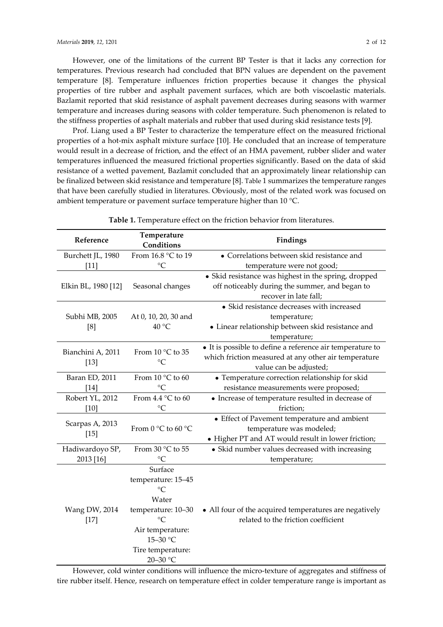However, one of the limitations of the current BP Tester is that it lacks any correction for temperatures. Previous research had concluded that BPN values are dependent on the pavement temperature [8]. Temperature influences friction properties because it changes the physical properties of tire rubber and asphalt pavement surfaces, which are both viscoelastic materials. Bazlamit reported that skid resistance of asphalt pavement decreases during seasons with warmer temperature and increases during seasons with colder temperature. Such phenomenon is related to the stiffness properties of asphalt materials and rubber that used during skid resistance tests [9].

Prof. Liang used a BP Tester to characterize the temperature effect on the measured frictional properties of a hot-mix asphalt mixture surface [10]. He concluded that an increase of temperature would result in a decrease of friction, and the effect of an HMA pavement, rubber slider and water temperatures influenced the measured frictional properties significantly. Based on the data of skid resistance of a wetted pavement, Bazlamit concluded that an approximately linear relationship can be finalized between skid resistance and temperature [8]. Table 1 summarizes the temperature ranges that have been carefully studied in literatures. Obviously, most of the related work was focused on ambient temperature or pavement surface temperature higher than 10 °C.

| Reference           | Temperature<br>Conditions  | Findings                                                  |
|---------------------|----------------------------|-----------------------------------------------------------|
| Burchett JL, 1980   | From 16.8 °C to 19         | • Correlations between skid resistance and                |
| $[11]$              | $\rm ^{\circ}C$            | temperature were not good;                                |
|                     |                            | • Skid resistance was highest in the spring, dropped      |
| Elkin BL, 1980 [12] | Seasonal changes           | off noticeably during the summer, and began to            |
|                     |                            | recover in late fall;                                     |
|                     |                            | • Skid resistance decreases with increased                |
| Subhi MB, 2005      | At 0, 10, 20, 30 and       | temperature;                                              |
| [8]                 | 40 °C                      | • Linear relationship between skid resistance and         |
|                     |                            | temperature;                                              |
| Bianchini A, 2011   | From 10 °C to 35           | • It is possible to define a reference air temperature to |
| $[13]$              | $\rm ^{\circ}C$            | which friction measured at any other air temperature      |
|                     |                            | value can be adjusted;                                    |
| Baran ED, 2011      | From 10 °C to 60           | • Temperature correction relationship for skid            |
| $[14]$              | $\rm ^{\circ}C$            | resistance measurements were proposed;                    |
| Robert YL, 2012     | From $4.4 \degree$ C to 60 | • Increase of temperature resulted in decrease of         |
| [10]                | $\rm ^{\circ}C$            | friction;                                                 |
| Scarpas A, 2013     |                            | • Effect of Pavement temperature and ambient              |
| $[15]$              | From $0 °C$ to $60 °C$     | temperature was modeled;                                  |
|                     |                            | • Higher PT and AT would result in lower friction;        |
| Hadiwardoyo SP,     | From 30 °C to 55           | • Skid number values decreased with increasing            |
| 2013 [16]           | $\rm ^{\circ}C$            | temperature;                                              |
|                     | Surface                    |                                                           |
|                     | temperature: 15-45         |                                                           |
|                     | $\rm ^{\circ}C$            |                                                           |
|                     | Water                      |                                                           |
| Wang DW, 2014       | temperature: 10-30         | • All four of the acquired temperatures are negatively    |
| $[17]$              | $\rm ^{\circ}C$            | related to the friction coefficient                       |
|                     | Air temperature:           |                                                           |
|                     | 15-30 °C                   |                                                           |
|                     | Tire temperature:          |                                                           |
|                     | 20-30 °C                   |                                                           |

**Table 1.** Temperature effect on the friction behavior from literatures.

However, cold winter conditions will influence the micro-texture of aggregates and stiffness of tire rubber itself. Hence, research on temperature effect in colder temperature range is important as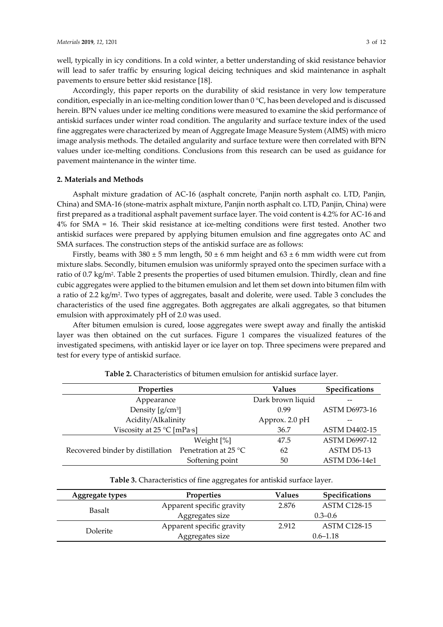well, typically in icy conditions. In a cold winter, a better understanding of skid resistance behavior will lead to safer traffic by ensuring logical deicing techniques and skid maintenance in asphalt pavements to ensure better skid resistance [18].

Accordingly, this paper reports on the durability of skid resistance in very low temperature condition, especially in an ice-melting condition lower than 0 °C, has been developed and is discussed herein. BPN values under ice melting conditions were measured to examine the skid performance of antiskid surfaces under winter road condition. The angularity and surface texture index of the used fine aggregates were characterized by mean of Aggregate Image Measure System (AIMS) with micro image analysis methods. The detailed angularity and surface texture were then correlated with BPN values under ice-melting conditions. Conclusions from this research can be used as guidance for pavement maintenance in the winter time.

#### **2. Materials and Methods**

Asphalt mixture gradation of AC-16 (asphalt concrete, Panjin north asphalt co. LTD, Panjin, China) and SMA-16 (stone-matrix asphalt mixture, Panjin north asphalt co. LTD, Panjin, China) were first prepared as a traditional asphalt pavement surface layer. The void content is 4.2% for AC-16 and 4% for SMA = 16. Their skid resistance at ice-melting conditions were first tested. Another two antiskid surfaces were prepared by applying bitumen emulsion and fine aggregates onto AC and SMA surfaces. The construction steps of the antiskid surface are as follows:

Firstly, beams with  $380 \pm 5$  mm length,  $50 \pm 6$  mm height and  $63 \pm 6$  mm width were cut from mixture slabs. Secondly, bitumen emulsion was uniformly sprayed onto the specimen surface with a ratio of 0.7 kg/m2. Table 2 presents the properties of used bitumen emulsion. Thirdly, clean and fine cubic aggregates were applied to the bitumen emulsion and let them set down into bitumen film with a ratio of 2.2 kg/m2. Two types of aggregates, basalt and dolerite, were used. Table 3 concludes the characteristics of the used fine aggregates. Both aggregates are alkali aggregates, so that bitumen emulsion with approximately pH of 2.0 was used.

After bitumen emulsion is cured, loose aggregates were swept away and finally the antiskid layer was then obtained on the cut surfaces. Figure 1 compares the visualized features of the investigated specimens, with antiskid layer or ice layer on top. Three specimens were prepared and test for every type of antiskid surface.

| Properties                          | <b>Values</b>        | Specifications       |                      |
|-------------------------------------|----------------------|----------------------|----------------------|
| Appearance                          | Dark brown liquid    |                      |                      |
| Density $[g/cm^3]$                  | 0.99                 | <b>ASTM D6973-16</b> |                      |
| Acidity/Alkalinity                  | Approx. 2.0 pH       |                      |                      |
| Viscosity at $25^{\circ}$ C [mPa·s] | 36.7                 | <b>ASTM D4402-15</b> |                      |
|                                     | Weight [%]           | 47.5                 | <b>ASTM D6997-12</b> |
| Recovered binder by distillation    | Penetration at 25 °C | 62                   | ASTM D5-13           |
|                                     | Softening point      | 50                   | ASTM D36-14e1        |

**Table 2.** Characteristics of bitumen emulsion for antiskid surface layer.

**Table 3.** Characteristics of fine aggregates for antiskid surface layer.

| <b>Aggregate types</b> | <b>Properties</b>         | Values | <b>Specifications</b> |  |  |
|------------------------|---------------------------|--------|-----------------------|--|--|
| Basalt                 | Apparent specific gravity | 2.876  | ASTM C128-15          |  |  |
|                        | Aggregates size           |        | $0.3 - 0.6$           |  |  |
|                        | Apparent specific gravity | 2.912  | <b>ASTM C128-15</b>   |  |  |
| Dolerite               | Aggregates size           |        | $0.6 - 1.18$          |  |  |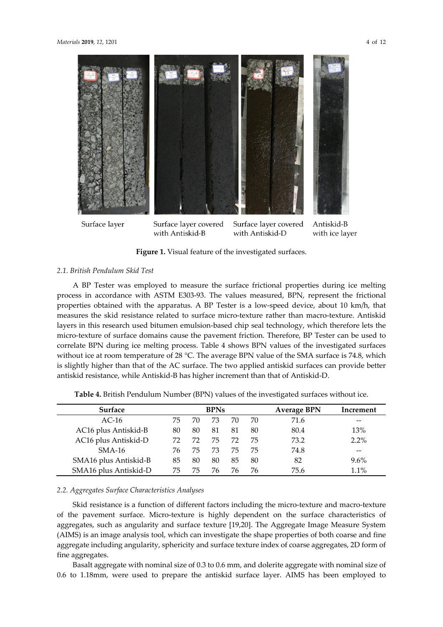

with Antiskid-B

with Antiskid-D

with ice layer

Figure 1. Visual feature of the investigated surfaces.

#### *2.1. British Pendulum Skid Test*

A BP Tester was employed to measure the surface frictional properties during ice melting process in accordance with ASTM E303-93. The values measured, BPN, represent the frictional properties obtained with the apparatus. A BP Tester is a low-speed device, about 10 km/h, that measures the skid resistance related to surface micro-texture rather than macro-texture. Antiskid layers in this research used bitumen emulsion-based chip seal technology, which therefore lets the micro-texture of surface domains cause the pavement friction. Therefore, BP Tester can be used to correlate BPN during ice melting process. Table 4 shows BPN values of the investigated surfaces without ice at room temperature of 28 °C. The average BPN value of the SMA surface is 74.8, which is slightly higher than that of the AC surface. The two applied antiskid surfaces can provide better antiskid resistance, while Antiskid-B has higher increment than that of Antiskid-D.

| <b>Surface</b>        |    |    | <b>BPNs</b> |    |    | <b>Average BPN</b> | Increment |
|-----------------------|----|----|-------------|----|----|--------------------|-----------|
| $AC-16$               | 75 | 70 | 73          | 70 | 70 | 71.6               |           |
| AC16 plus Antiskid-B  | 80 | 80 | 81          | 81 | 80 | 80.4               | 13%       |
| AC16 plus Antiskid-D  | 72 | 72 | 75          | 72 | 75 | 73.2               | 2.2%      |
| $SMA-16$              | 76 | 75 | 73          | 75 | 75 | 74.8               |           |
| SMA16 plus Antiskid-B | 85 | 80 | 80          | 85 | 80 | 82                 | $9.6\%$   |
| SMA16 plus Antiskid-D | 75 | 75 | 76          | 76 | 76 | 75.6               | 1.1%      |

**Table 4.** British Pendulum Number (BPN) values of the investigated surfaces without ice.

#### *2.2. Aggregates Surface Characteristics Analyses*

Skid resistance is a function of different factors including the micro-texture and macro-texture of the pavement surface. Micro-texture is highly dependent on the surface characteristics of aggregates, such as angularity and surface texture [19,20]. The Aggregate Image Measure System (AIMS) is an image analysis tool, which can investigate the shape properties of both coarse and fine aggregate including angularity, sphericity and surface texture index of coarse aggregates, 2D form of fine aggregates.

Basalt aggregate with nominal size of 0.3 to 0.6 mm, and dolerite aggregate with nominal size of 0.6 to 1.18mm, were used to prepare the antiskid surface layer. AIMS has been employed to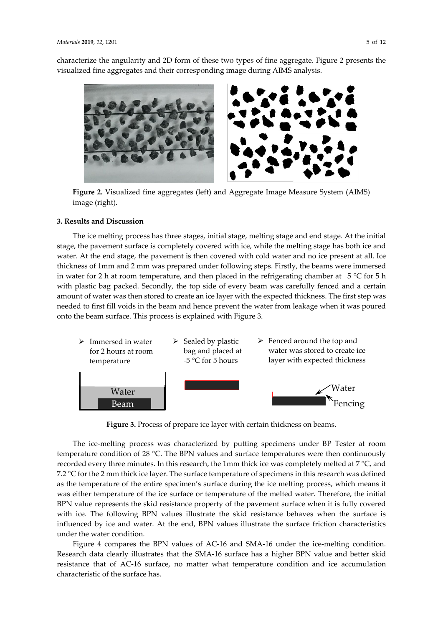characterize the angularity and 2D form of these two types of fine aggregate. Figure 2 presents the visualized fine aggregates and their corresponding image during AIMS analysis.



**Figure 2.** Visualized fine aggregates (left) and Aggregate Image Measure System (AIMS) image (right).

#### **3. Results and Discussion**

The ice melting process has three stages, initial stage, melting stage and end stage. At the initial stage, the pavement surface is completely covered with ice, while the melting stage has both ice and water. At the end stage, the pavement is then covered with cold water and no ice present at all. Ice thickness of 1mm and 2 mm was prepared under following steps. Firstly, the beams were immersed in water for 2 h at room temperature, and then placed in the refrigerating chamber at −5 °C for 5 h with plastic bag packed. Secondly, the top side of every beam was carefully fenced and a certain amount of water was then stored to create an ice layer with the expected thickness. The first step was needed to first fill voids in the beam and hence prevent the water from leakage when it was poured onto the beam surface. This process is explained with Figure 3.



**Figure 3.** Process of prepare ice layer with certain thickness on beams.

The ice-melting process was characterized by putting specimens under BP Tester at room temperature condition of 28 °C. The BPN values and surface temperatures were then continuously recorded every three minutes. In this research, the 1mm thick ice was completely melted at 7 °C, and 7.2 °C for the 2 mm thick ice layer. The surface temperature of specimens in this research was defined as the temperature of the entire specimen's surface during the ice melting process, which means it was either temperature of the ice surface or temperature of the melted water. Therefore, the initial BPN value represents the skid resistance property of the pavement surface when it is fully covered with ice. The following BPN values illustrate the skid resistance behaves when the surface is influenced by ice and water. At the end, BPN values illustrate the surface friction characteristics under the water condition.

Figure 4 compares the BPN values of AC-16 and SMA-16 under the ice-melting condition. Research data clearly illustrates that the SMA-16 surface has a higher BPN value and better skid resistance that of AC-16 surface, no matter what temperature condition and ice accumulation characteristic of the surface has.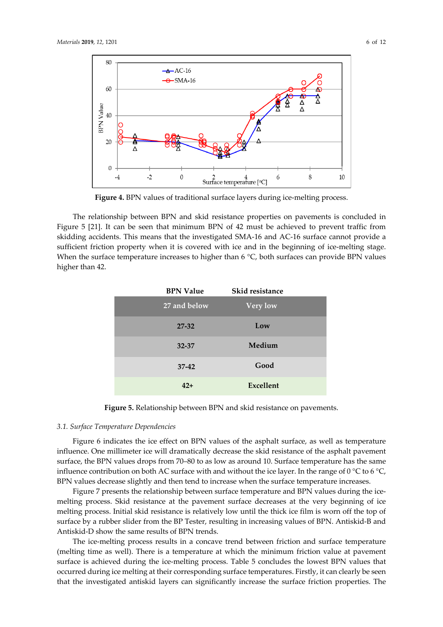

**Figure 4.** BPN values of traditional surface layers during ice-melting process.

The relationship between BPN and skid resistance properties on pavements is concluded in Figure 5 [21]. It can be seen that minimum BPN of 42 must be achieved to prevent traffic from skidding accidents. This means that the investigated SMA-16 and AC-16 surface cannot provide a sufficient friction property when it is covered with ice and in the beginning of ice-melting stage. When the surface temperature increases to higher than  $6^{\circ}C$ , both surfaces can provide BPN values higher than 42.

| <b>BPN Value</b> | Skid resistance |  |
|------------------|-----------------|--|
| 27 and below     | <b>Very low</b> |  |
| $27 - 32$        | Low             |  |
| 32-37            | Medium          |  |
| $37-42$          | Good            |  |
| $42+$            | Excellent       |  |

**Figure 5.** Relationship between BPN and skid resistance on pavements.

# *3.1. Surface Temperature Dependencies*

Figure 6 indicates the ice effect on BPN values of the asphalt surface, as well as temperature influence. One millimeter ice will dramatically decrease the skid resistance of the asphalt pavement surface, the BPN values drops from 70–80 to as low as around 10. Surface temperature has the same influence contribution on both AC surface with and without the ice layer. In the range of  $0^{\circ}$ C to  $6^{\circ}$ C, BPN values decrease slightly and then tend to increase when the surface temperature increases.

Figure 7 presents the relationship between surface temperature and BPN values during the icemelting process. Skid resistance at the pavement surface decreases at the very beginning of ice melting process. Initial skid resistance is relatively low until the thick ice film is worn off the top of surface by a rubber slider from the BP Tester, resulting in increasing values of BPN. Antiskid-B and Antiskid-D show the same results of BPN trends.

The ice-melting process results in a concave trend between friction and surface temperature (melting time as well). There is a temperature at which the minimum friction value at pavement surface is achieved during the ice-melting process. Table 5 concludes the lowest BPN values that occurred during ice melting at their corresponding surface temperatures. Firstly, it can clearly be seen that the investigated antiskid layers can significantly increase the surface friction properties. The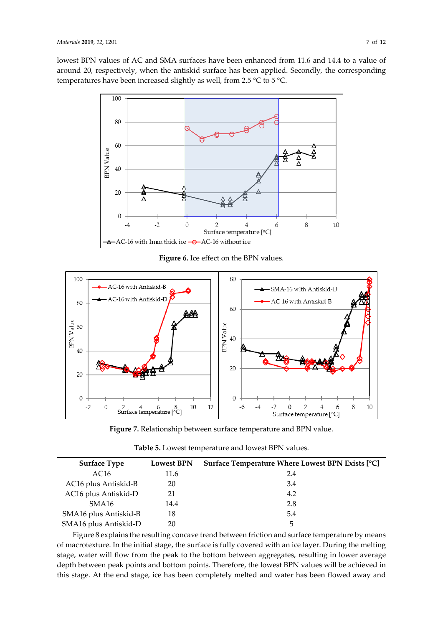lowest BPN values of AC and SMA surfaces have been enhanced from 11.6 and 14.4 to a value of around 20, respectively, when the antiskid surface has been applied. Secondly, the corresponding temperatures have been increased slightly as well, from 2.5 °C to 5 °C.



**Figure 6.** Ice effect on the BPN values.



**Figure 7.** Relationship between surface temperature and BPN value.

| <b>Surface Type</b>   | <b>Lowest BPN</b> | Surface Temperature Where Lowest BPN Exists [°C] |
|-----------------------|-------------------|--------------------------------------------------|
| AC <sub>16</sub>      | 11.6              | 2.4                                              |
| AC16 plus Antiskid-B  | 20                | 3.4                                              |
| AC16 plus Antiskid-D  | 21                | 4.2                                              |
| SMA16                 | 14.4              | 2.8                                              |
| SMA16 plus Antiskid-B | 18                | 5.4                                              |
| SMA16 plus Antiskid-D | 20                | 5                                                |

Figure 8 explains the resulting concave trend between friction and surface temperature by means of macrotexture. In the initial stage, the surface is fully covered with an ice layer. During the melting stage, water will flow from the peak to the bottom between aggregates, resulting in lower average depth between peak points and bottom points. Therefore, the lowest BPN values will be achieved in this stage. At the end stage, ice has been completely melted and water has been flowed away and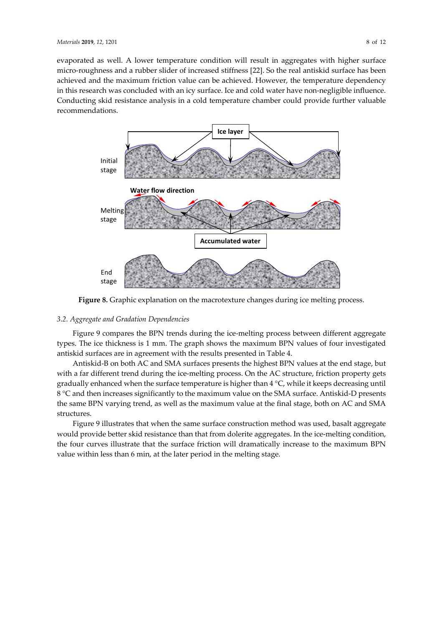evaporated as well. A lower temperature condition will result in aggregates with higher surface micro-roughness and a rubber slider of increased stiffness [22]. So the real antiskid surface has been achieved and the maximum friction value can be achieved. However, the temperature dependency in this research was concluded with an icy surface. Ice and cold water have non-negligible influence. Conducting skid resistance analysis in a cold temperature chamber could provide further valuable recommendations.



**Figure 8.** Graphic explanation on the macrotexture changes during ice melting process.

# *3.2. Aggregate and Gradation Dependencies*

Figure 9 compares the BPN trends during the ice-melting process between different aggregate types. The ice thickness is 1 mm. The graph shows the maximum BPN values of four investigated antiskid surfaces are in agreement with the results presented in Table 4.

Antiskid-B on both AC and SMA surfaces presents the highest BPN values at the end stage, but with a far different trend during the ice-melting process. On the AC structure, friction property gets gradually enhanced when the surface temperature is higher than 4 °C, while it keeps decreasing until 8 °C and then increases significantly to the maximum value on the SMA surface. Antiskid-D presents the same BPN varying trend, as well as the maximum value at the final stage, both on AC and SMA structures.

Figure 9 illustrates that when the same surface construction method was used, basalt aggregate would provide better skid resistance than that from dolerite aggregates. In the ice-melting condition, the four curves illustrate that the surface friction will dramatically increase to the maximum BPN value within less than 6 min, at the later period in the melting stage.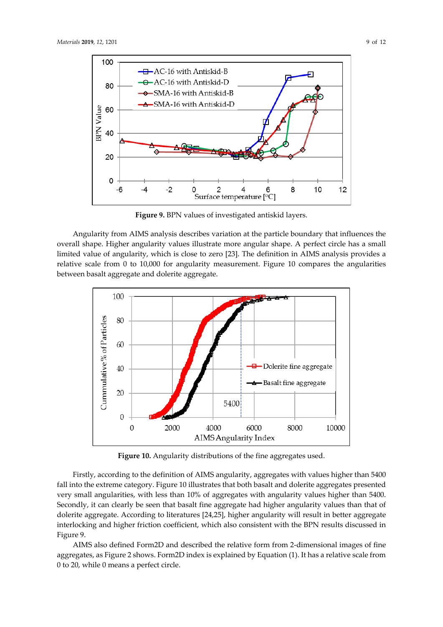

**Figure 9.** BPN values of investigated antiskid layers.

Angularity from AIMS analysis describes variation at the particle boundary that influences the overall shape. Higher angularity values illustrate more angular shape. A perfect circle has a small limited value of angularity, which is close to zero [23]. The definition in AIMS analysis provides a relative scale from 0 to 10,000 for angularity measurement. Figure 10 compares the angularities between basalt aggregate and dolerite aggregate.



**Figure 10.** Angularity distributions of the fine aggregates used.

Firstly, according to the definition of AIMS angularity, aggregates with values higher than 5400 fall into the extreme category. Figure 10 illustrates that both basalt and dolerite aggregates presented very small angularities, with less than 10% of aggregates with angularity values higher than 5400. Secondly, it can clearly be seen that basalt fine aggregate had higher angularity values than that of dolerite aggregate. According to literatures [24,25], higher angularity will result in better aggregate interlocking and higher friction coefficient, which also consistent with the BPN results discussed in Figure 9.

AIMS also defined Form2D and described the relative form from 2-dimensional images of fine aggregates, as Figure 2 shows. Form2D index is explained by Equation (1). It has a relative scale from 0 to 20, while 0 means a perfect circle.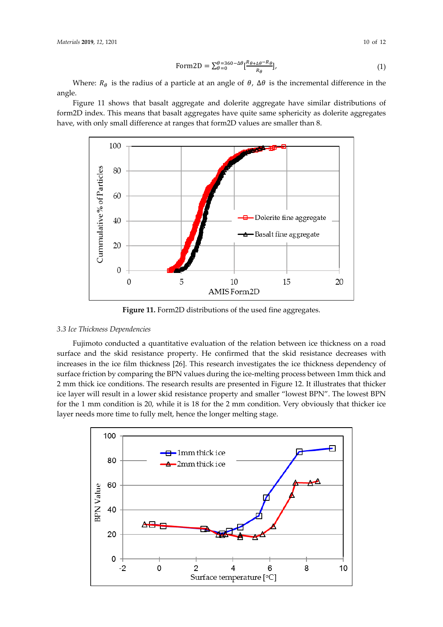Where:  $R_{\theta}$  is the radius of a particle at an angle of  $\theta$ ,  $\Delta\theta$  is the incremental difference in the angle.

Figure 11 shows that basalt aggregate and dolerite aggregate have similar distributions of form2D index. This means that basalt aggregates have quite same sphericity as dolerite aggregates have, with only small difference at ranges that form2D values are smaller than 8.



**Figure 11.** Form2D distributions of the used fine aggregates.

# *3.3 Ice Thickness Dependencies*

Fujimoto conducted a quantitative evaluation of the relation between ice thickness on a road surface and the skid resistance property. He confirmed that the skid resistance decreases with increases in the ice film thickness [26]. This research investigates the ice thickness dependency of surface friction by comparing the BPN values during the ice-melting process between 1mm thick and 2 mm thick ice conditions. The research results are presented in Figure 12. It illustrates that thicker ice layer will result in a lower skid resistance property and smaller "lowest BPN". The lowest BPN for the 1 mm condition is 20, while it is 18 for the 2 mm condition. Very obviously that thicker ice layer needs more time to fully melt, hence the longer melting stage.

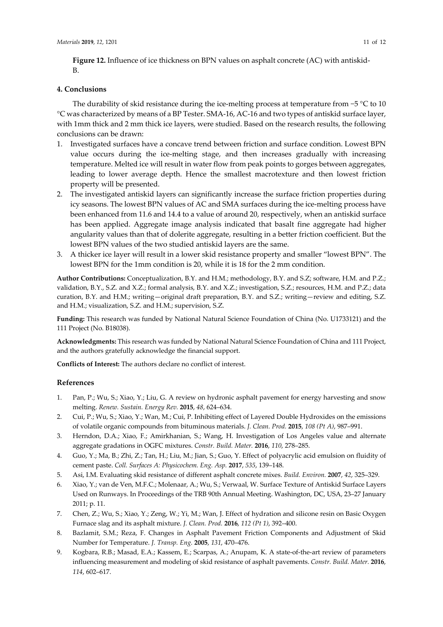# **4. Conclusions**

The durability of skid resistance during the ice-melting process at temperature from −5 °C to 10 °C was characterized by means of a BP Tester. SMA-16, AC-16 and two types of antiskid surface layer, with 1mm thick and 2 mm thick ice layers, were studied. Based on the research results, the following conclusions can be drawn:

- 1. Investigated surfaces have a concave trend between friction and surface condition. Lowest BPN value occurs during the ice-melting stage, and then increases gradually with increasing temperature. Melted ice will result in water flow from peak points to gorges between aggregates, leading to lower average depth. Hence the smallest macrotexture and then lowest friction property will be presented.
- 2. The investigated antiskid layers can significantly increase the surface friction properties during icy seasons. The lowest BPN values of AC and SMA surfaces during the ice-melting process have been enhanced from 11.6 and 14.4 to a value of around 20, respectively, when an antiskid surface has been applied. Aggregate image analysis indicated that basalt fine aggregate had higher angularity values than that of dolerite aggregate, resulting in a better friction coefficient. But the lowest BPN values of the two studied antiskid layers are the same.
- 3. A thicker ice layer will result in a lower skid resistance property and smaller "lowest BPN". The lowest BPN for the 1mm condition is 20, while it is 18 for the 2 mm condition.

**Author Contributions:** Conceptualization, B.Y. and H.M.; methodology, B.Y. and S.Z; software, H.M. and P.Z.; validation, B.Y., S.Z. and X.Z.; formal analysis, B.Y. and X.Z.; investigation, S.Z.; resources, H.M. and P.Z.; data curation, B.Y. and H.M.; writing—original draft preparation, B.Y. and S.Z.; writing—review and editing, S.Z. and H.M.; visualization, S.Z. and H.M.; supervision, S.Z.

**Funding:** This research was funded by National Natural Science Foundation of China (No. U1733121) and the 111 Project (No. B18038).

**Acknowledgments:** This research was funded by National Natural Science Foundation of China and 111 Project, and the authors gratefully acknowledge the financial support.

**Conflicts of Interest:** The authors declare no conflict of interest.

# **References**

- 1. Pan, P.; Wu, S.; Xiao, Y.; Liu, G. A review on hydronic asphalt pavement for energy harvesting and snow melting. *Renew. Sustain. Energy Rev.* **2015**, *48*, 624–634.
- 2. Cui, P.; Wu, S.; Xiao, Y.; Wan, M.; Cui, P. Inhibiting effect of Layered Double Hydroxides on the emissions of volatile organic compounds from bituminous materials. *J. Clean. Prod.* **2015**, *108 (Pt A)*, 987–991.
- 3. Herndon, D.A.; Xiao, F.; Amirkhanian, S.; Wang, H. Investigation of Los Angeles value and alternate aggregate gradations in OGFC mixtures. *Constr. Build. Mater.* **2016**, *110*, 278–285.
- 4. Guo, Y.; Ma, B.; Zhi, Z.; Tan, H.; Liu, M.; Jian, S.; Guo, Y. Effect of polyacrylic acid emulsion on fluidity of cement paste. *Coll. Surfaces A: Physicochem. Eng. Asp.* **2017**, *535*, 139–148.
- 5. Asi, I.M. Evaluating skid resistance of different asphalt concrete mixes. *Build. Environ.* **2007**, *42*, 325–329.
- 6. Xiao, Y.; van de Ven, M.F.C.; Molenaar, A.; Wu, S.; Verwaal, W. Surface Texture of Antiskid Surface Layers Used on Runways. In Proceedings of the TRB 90th Annual Meeting. Washington, DC, USA, 23–27 January 2011; p. 11.
- 7. Chen, Z.; Wu, S.; Xiao, Y.; Zeng, W.; Yi, M.; Wan, J. Effect of hydration and silicone resin on Basic Oxygen Furnace slag and its asphalt mixture. *J. Clean. Prod.* **2016**, *112 (Pt 1)*, 392–400.
- 8. Bazlamit, S.M.; Reza, F. Changes in Asphalt Pavement Friction Components and Adjustment of Skid Number for Temperature. *J. Transp. Eng.* **2005**, *131*, 470–476.
- 9. Kogbara, R.B.; Masad, E.A.; Kassem, E.; Scarpas, A.; Anupam, K. A state-of-the-art review of parameters influencing measurement and modeling of skid resistance of asphalt pavements. *Constr. Build. Mater.* **2016**, *114*, 602–617.